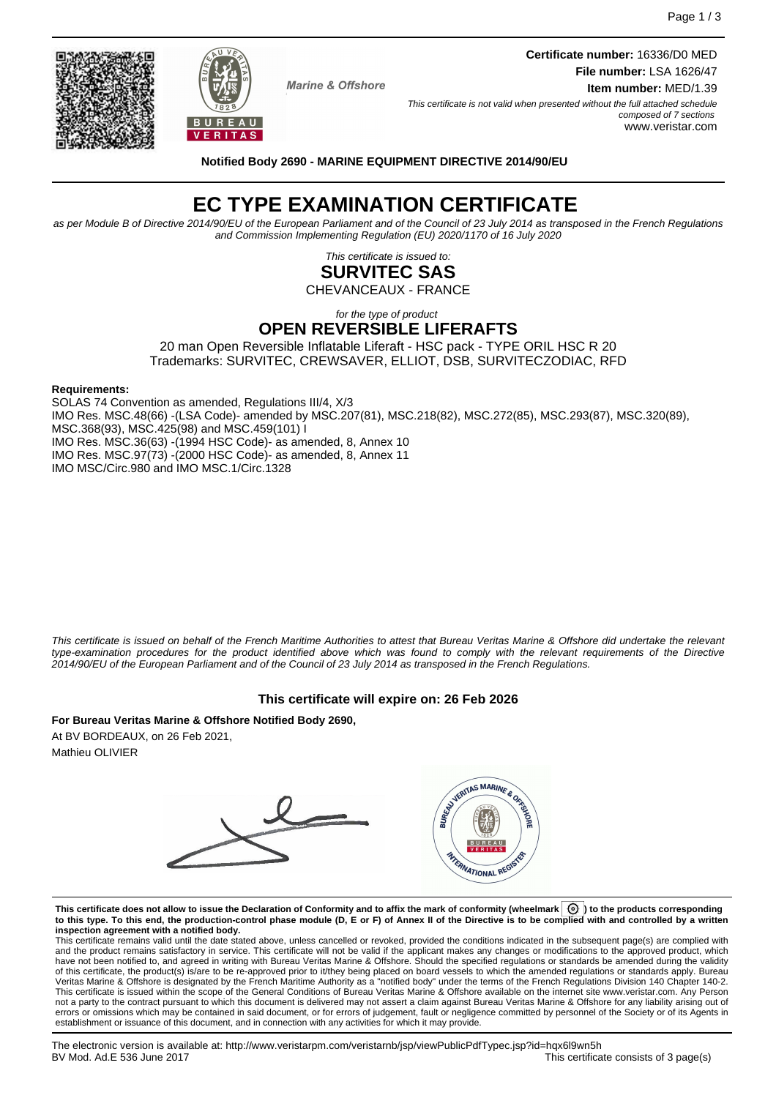Page 1 / 3

**Marine & Offshore** 

**Certificate number:** 16336/D0 MED **File number:** LSA 1626/47 **Item number:** MED/1.39

This certificate is not valid when presented without the full attached schedule composed of 7 sections www.veristar.com

**Notified Body 2690 - MARINE EQUIPMENT DIRECTIVE 2014/90/EU**

# **EC TYPE EXAMINATION CERTIFICATE**

as per Module B of Directive 2014/90/EU of the European Parliament and of the Council of 23 July 2014 as transposed in the French Regulations and Commission Implementing Regulation (EU) 2020/1170 of 16 July 2020

> This certificate is issued to: **SURVITEC SAS**

CHEVANCEAUX - FRANCE

for the type of product **OPEN REVERSIBLE LIFERAFTS**

20 man Open Reversible Inflatable Liferaft - HSC pack - TYPE ORIL HSC R 20 Trademarks: SURVITEC, CREWSAVER, ELLIOT, DSB, SURVITECZODIAC, RFD

#### **Requirements:**

SOLAS 74 Convention as amended, Regulations III/4, X/3 IMO Res. MSC.48(66) -(LSA Code)- amended by MSC.207(81), MSC.218(82), MSC.272(85), MSC.293(87), MSC.320(89), MSC.368(93), MSC.425(98) and MSC.459(101) I IMO Res. MSC.36(63) -(1994 HSC Code)- as amended, 8, Annex 10 IMO Res. MSC.97(73) -(2000 HSC Code)- as amended, 8, Annex 11 IMO MSC/Circ.980 and IMO MSC.1/Circ.1328

This certificate is issued on behalf of the French Maritime Authorities to attest that Bureau Veritas Marine & Offshore did undertake the relevant type-examination procedures for the product identified above which was found to comply with the relevant requirements of the Directive 2014/90/EU of the European Parliament and of the Council of 23 July 2014 as transposed in the French Regulations.

## **This certificate will expire on: 26 Feb 2026**

**For Bureau Veritas Marine & Offshore Notified Body 2690,** At BV BORDEAUX, on 26 Feb 2021, Mathieu OLIVIER



**This certificate does not allow to issue the Declaration of Conformity and to affix the mark of conformity (wheelmark ) to the products corresponding to this type. To this end, the production-control phase module (D, E or F) of Annex II of the Directive is to be complied with and controlled by a written inspection agreement with a notified body.**

This certificate remains valid until the date stated above, unless cancelled or revoked, provided the conditions indicated in the subsequent page(s) are complied with and the product remains satisfactory in service. This certificate will not be valid if the applicant makes any changes or modifications to the approved product, which have not been notified to, and agreed in writing with Bureau Veritas Marine & Offshore. Should the specified regulations or standards be amended during the validity of this certificate, the product(s) is/are to be re-approved prior to it/they being placed on board vessels to which the amended regulations or standards apply. Bureau<br>Veritas Marine & Offshore is designated by the French not a party to the contract pursuant to which this document is delivered may not assert a claim against Bureau Veritas Marine & Offshore for any liability arising out of errors or omissions which may be contained in said document, or for errors of judgement, fault or negligence committed by personnel of the Society or of its Agents in establishment or issuance of this document, and in connection with any activities for which it may provide.



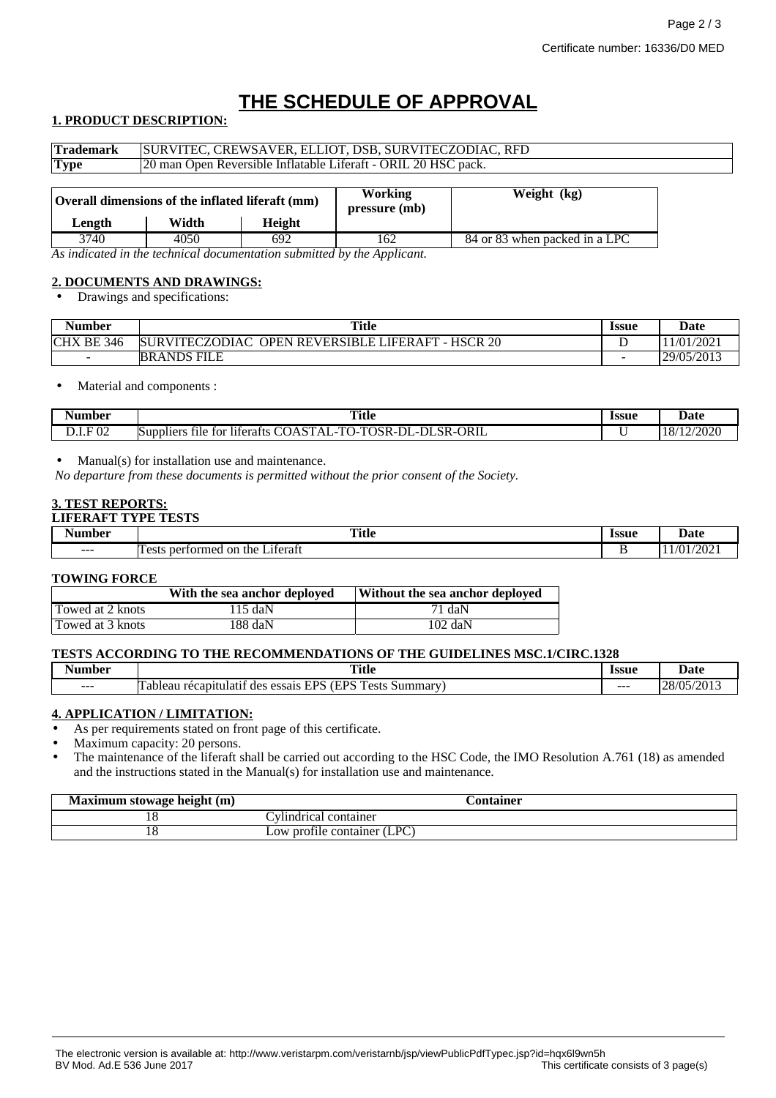# **THE SCHEDULE OF APPROVAL**

## **1. PRODUCT DESCRIPTION:**

| <b>Trademark</b> | SURVITEC, CREWSAVER, ELLIOT, DSB, SURVITECZODIAC, RFD          |        |                                 |                               |
|------------------|----------------------------------------------------------------|--------|---------------------------------|-------------------------------|
| <b>Type</b>      | 20 man Open Reversible Inflatable Liferaft - ORIL 20 HSC pack. |        |                                 |                               |
|                  | Overall dimensions of the inflated liferaft (mm)               |        | <b>Working</b><br>pressure (mb) | Weight (kg)                   |
| Length           | Width                                                          | Height |                                 |                               |
| 3740             | 4050                                                           | 692.   | 162                             | 84 or 83 when packed in a LPC |

*As indicated in the technical documentation submitted by the Applicant.*

## **2. DOCUMENTS AND DRAWINGS:**

• Drawings and specifications:

| . .<br>Number     | <b>Title</b>                                                        | <b>Issue</b> | Date       |
|-------------------|---------------------------------------------------------------------|--------------|------------|
| <b>CHX BE 346</b> | HSCR 20<br><b>SURVITECZODIAC</b><br><b>OPEN REVERSIBLE LIFERAFT</b> |              | 11/01/2021 |
| $\sim$            | FILE<br><b>BRANDS</b>                                               | -            | 29/05/2013 |

• Material and components :

| Number                                  | <b>Title</b><br>$\sim$ $\sim$                                                                                                                                                   | <b>Issue</b> | Date                              |
|-----------------------------------------|---------------------------------------------------------------------------------------------------------------------------------------------------------------------------------|--------------|-----------------------------------|
| 02<br>$\overline{\phantom{0}}$<br>レ・エ・エ | <b>ORIL</b><br>$\sim$<br>$\mathbf{r}$<br>TOSR-L<br>$\_$ SR- $\prime$<br>$\sim$<br>$\sqrt{2}$<br>.-DI<br>Άì<br>liferafts<br>tor<br>'' JA<br>Nupplier <sup>e</sup><br>tile.<br>ъ. |              | 12000c<br>720ZU<br>$\overline{1}$ |

• Manual(s) for installation use and maintenance.

*No departure from these documents is permitted without the prior consent of the Society.*

## **3. TEST REPORTS:**

#### **LIFERAFT TYPE TESTS**

| - -<br>an hor<br>۹u | <b>Title</b><br>$\sim$ $\sim$                          | <b>Issue</b><br>. | Jote<br>Date                  |
|---------------------|--------------------------------------------------------|-------------------|-------------------------------|
| $- - -$             | $\sim$<br>.1terat<br>ormec<br>$\alpha$<br>the.<br>neri |                   | $\sim$ $\sim$<br>11<br>$\sim$ |

#### **TOWING FORCE**

|                  | With the sea anchor deployed | Without the sea anchor deployed |
|------------------|------------------------------|---------------------------------|
| Towed at 2 knots | $115 \text{ da}$ N           | 71 daN                          |
| Towed at 3 knots | 188 daN                      | $102 \text{ daN}$               |

#### **TESTS ACCORDING TO THE RECOMMENDATIONS OF THE GUIDELINES MSC.1/CIRC.1328**

| $\overline{\phantom{a}}$<br>Number | Title                                                                                                         | <i><u><b>Issue</b></u></i> | Date                                                     |
|------------------------------------|---------------------------------------------------------------------------------------------------------------|----------------------------|----------------------------------------------------------|
| $- - -$                            | TDC.<br>$\overline{ }$<br><b>TPS</b><br>.11atıt<br>Summar<br>recapiti<br>des<br>essais<br>'i adleau<br>.<br>ັ | ---                        | /05/2013<br>$\cap$<br>$\sim$<br>$\overline{\phantom{a}}$ |

#### **4. APPLICATION / LIMITATION:**

As per requirements stated on front page of this certificate.

Maximum capacity: 20 persons.

• The maintenance of the liferaft shall be carried out according to the HSC Code, the IMO Resolution A.761 (18) as amended and the instructions stated in the Manual(s) for installation use and maintenance.

| Maximum stowage height (m) | <b>Container</b>            |
|----------------------------|-----------------------------|
|                            | :vimdrical<br>container     |
|                            | Low profile container (LPC) |